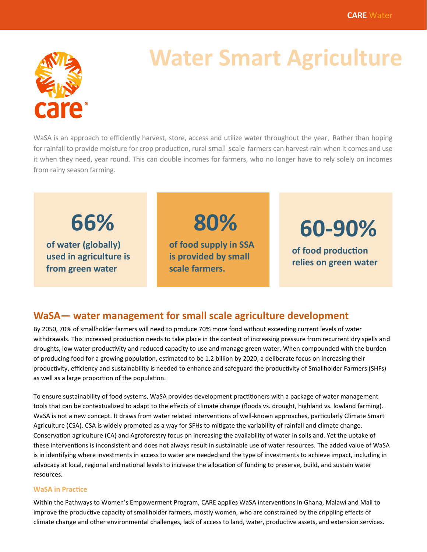

# **Water Smart Agriculture**

WaSA is an approach to efficiently harvest, store, access and utilize water throughout the year. Rather than hoping for rainfall to provide moisture for crop production, rural small scale farmers can harvest rain when it comes and use it when they need, year round. This can double incomes for farmers, who no longer have to rely solely on incomes from rainy season farming.

**66%**

**of water (globally) used in agriculture is from green water**

**of food supply in SSA is provided by small scale farmers.** 

**80%**

**60-90%**

**of food production relies on green water**

## **WaSA— water management for small scale agriculture development**

By 2050, 70% of smallholder farmers will need to produce 70% more food without exceeding current levels of water withdrawals. This increased production needs to take place in the context of increasing pressure from recurrent dry spells and droughts, low water productivity and reduced capacity to use and manage green water. When compounded with the burden of producing food for a growing population, estimated to be 1.2 billion by 2020, a deliberate focus on increasing their productivity, efficiency and sustainability is needed to enhance and safeguard the productivity of Smallholder Farmers (SHFs) as well as a large proportion of the population.

To ensure sustainability of food systems, WaSA provides development practitioners with a package of water management tools that can be contextualized to adapt to the effects of climate change (floods vs. drought, highland vs. lowland farming). WaSA is not a new concept. It draws from water related interventions of well-known approaches, particularly Climate Smart Agriculture (CSA). CSA is widely promoted as a way for SFHs to mitigate the variability of rainfall and climate change. Conservation agriculture (CA) and Agroforestry focus on increasing the availability of water in soils and. Yet the uptake of these interventions is inconsistent and does not always result in sustainable use of water resources. The added value of WaSA is in identifying where investments in access to water are needed and the type of investments to achieve impact, including in advocacy at local, regional and national levels to increase the allocation of funding to preserve, build, and sustain water resources.

#### **WaSA in Practice**

Within the Pathways to Women's Empowerment Program, CARE applies WaSA interventions in Ghana, Malawi and Mali to improve the productive capacity of smallholder farmers, mostly women, who are constrained by the crippling effects of climate change and other environmental challenges, lack of access to land, water, productive assets, and extension services.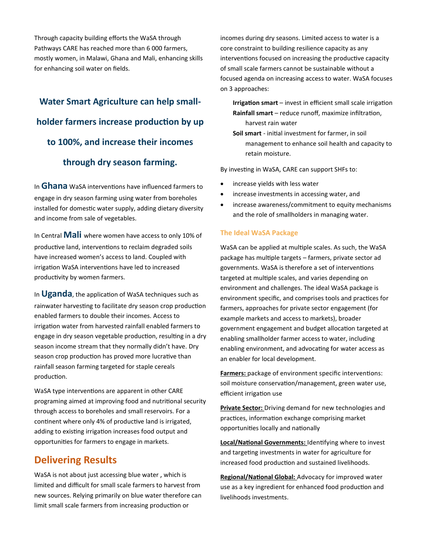Through capacity building efforts the WaSA through Pathways CARE has reached more than 6 000 farmers, mostly women, in Malawi, Ghana and Mali, enhancing skills for enhancing soil water on fields.

# **Water Smart Agriculture can help smallholder farmers increase production by up to 100%, and increase their incomes through dry season farming.**

In **Ghana** WaSA interventions have influenced farmers to engage in dry season farming using water from boreholes installed for domestic water supply, adding dietary diversity and income from sale of vegetables.

In Central **Mali** where women have access to only 10% of productive land, interventions to reclaim degraded soils have increased women's access to land. Coupled with irrigation WaSA interventions have led to increased productivity by women farmers.

In **Uganda**, the application of WaSA techniques such as rainwater harvesting to facilitate dry season crop production enabled farmers to double their incomes. Access to irrigation water from harvested rainfall enabled farmers to engage in dry season vegetable production, resulting in a dry season income stream that they normally didn't have. Dry season crop production has proved more lucrative than rainfall season farming targeted for staple cereals production.

WaSA type interventions are apparent in other CARE programing aimed at improving food and nutritional security through access to boreholes and small reservoirs. For a continent where only 4% of productive land is irrigated, adding to existing irrigation increases food output and opportunities for farmers to engage in markets.

### **Delivering Results**

WaSA is not about just accessing blue water , which is limited and difficult for small scale farmers to harvest from new sources. Relying primarily on blue water therefore can limit small scale farmers from increasing production or

incomes during dry seasons. Limited access to water is a core constraint to building resilience capacity as any interventions focused on increasing the productive capacity of small scale farmers cannot be sustainable without a focused agenda on increasing access to water. WaSA focuses on 3 approaches:

**Irrigation smart** – invest in efficient small scale irrigation **Rainfall smart** – reduce runoff, maximize infiltration, harvest rain water

**Soil smart** - initial investment for farmer, in soil management to enhance soil health and capacity to retain moisture.

By investing in WaSA, CARE can support SHFs to:

- increase yields with less water
- increase investments in accessing water, and
- increase awareness/commitment to equity mechanisms and the role of smallholders in managing water.

### **The Ideal WaSA Package**

WaSA can be applied at multiple scales. As such, the WaSA package has multiple targets – farmers, private sector ad governments. WaSA is therefore a set of interventions targeted at multiple scales, and varies depending on environment and challenges. The ideal WaSA package is environment specific, and comprises tools and practices for farmers, approaches for private sector engagement (for example markets and access to markets), broader government engagement and budget allocation targeted at enabling smallholder farmer access to water, including enabling environment, and advocating for water access as an enabler for local development.

**Farmers:** package of environment specific interventions: soil moisture conservation/management, green water use, efficient irrigation use

**Private Sector:** Driving demand for new technologies and practices, information exchange comprising market opportunities locally and nationally

**Local/National Governments:** Identifying where to invest and targeting investments in water for agriculture for increased food production and sustained livelihoods.

**Regional/National Global:** Advocacy for improved water use as a key ingredient for enhanced food production and livelihoods investments.